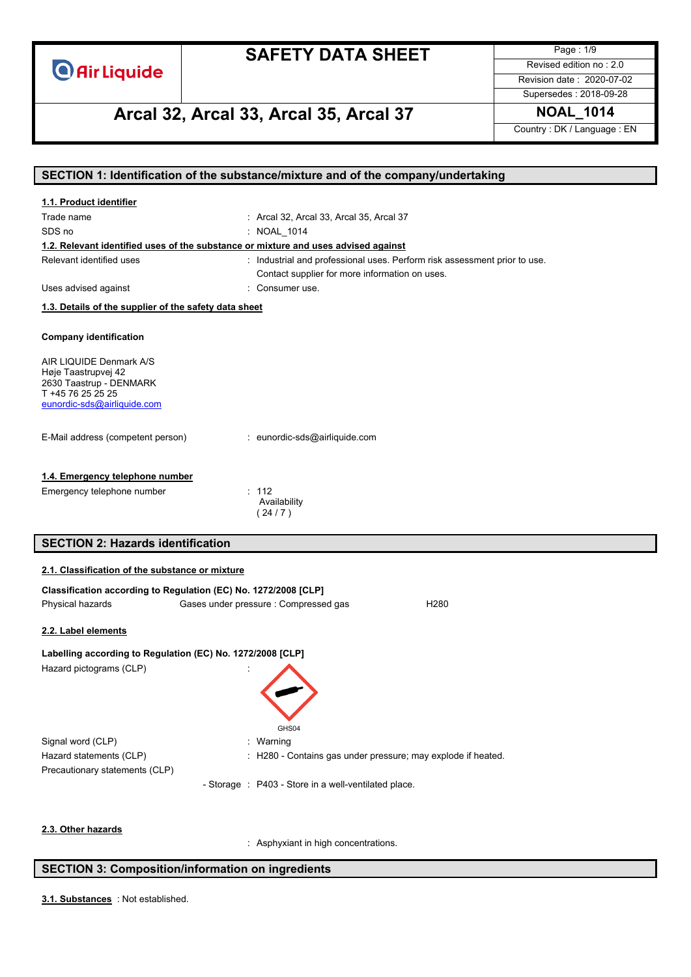

Page : 1/9 Revised edition no : 2.0 Revision date : 2020-07-02

# **Arcal 32, Arcal 33, Arcal 35, Arcal 37 NOAL\_1014**

Supersedes : 2018-09-28

Country : DK / Language : EN

|                                                                                     | SECTION 1: Identification of the substance/mixture and of the company/undertaking |  |  |
|-------------------------------------------------------------------------------------|-----------------------------------------------------------------------------------|--|--|
| 1.1. Product identifier                                                             |                                                                                   |  |  |
| Trade name                                                                          | : Arcal 32, Arcal 33, Arcal 35, Arcal 37                                          |  |  |
| SDS no                                                                              | : NOAL_1014                                                                       |  |  |
| 1.2. Relevant identified uses of the substance or mixture and uses advised against  |                                                                                   |  |  |
| Relevant identified uses                                                            | : Industrial and professional uses. Perform risk assessment prior to use.         |  |  |
|                                                                                     | Contact supplier for more information on uses.                                    |  |  |
| Uses advised against                                                                | : Consumer use.                                                                   |  |  |
| 1.3. Details of the supplier of the safety data sheet                               |                                                                                   |  |  |
|                                                                                     |                                                                                   |  |  |
| <b>Company identification</b>                                                       |                                                                                   |  |  |
| AIR LIQUIDE Denmark A/S                                                             |                                                                                   |  |  |
| Høje Taastrupvej 42                                                                 |                                                                                   |  |  |
| 2630 Taastrup - DENMARK                                                             |                                                                                   |  |  |
| T +45 76 25 25 25<br>eunordic-sds@airliquide.com                                    |                                                                                   |  |  |
|                                                                                     |                                                                                   |  |  |
| E-Mail address (competent person)                                                   | : eunordic-sds@airliquide.com                                                     |  |  |
|                                                                                     |                                                                                   |  |  |
|                                                                                     |                                                                                   |  |  |
| 1.4. Emergency telephone number                                                     |                                                                                   |  |  |
| Emergency telephone number                                                          | : 112<br>Availability                                                             |  |  |
|                                                                                     | (24/7)                                                                            |  |  |
|                                                                                     |                                                                                   |  |  |
| <b>SECTION 2: Hazards identification</b>                                            |                                                                                   |  |  |
| 2.1. Classification of the substance or mixture                                     |                                                                                   |  |  |
|                                                                                     |                                                                                   |  |  |
| Classification according to Regulation (EC) No. 1272/2008 [CLP]<br>Physical hazards | Gases under pressure : Compressed gas<br>H <sub>280</sub>                         |  |  |
|                                                                                     |                                                                                   |  |  |
| 2.2. Label elements                                                                 |                                                                                   |  |  |
| Labelling according to Regulation (EC) No. 1272/2008 [CLP]                          |                                                                                   |  |  |
| Hazard pictograms (CLP)                                                             |                                                                                   |  |  |
|                                                                                     |                                                                                   |  |  |
|                                                                                     |                                                                                   |  |  |
|                                                                                     |                                                                                   |  |  |
|                                                                                     | GHS04                                                                             |  |  |
| Signal word (CLP)                                                                   | Warning                                                                           |  |  |
| Hazard statements (CLP)                                                             | H280 - Contains gas under pressure; may explode if heated.                        |  |  |
| Precautionary statements (CLP)                                                      |                                                                                   |  |  |
|                                                                                     | - Storage : P403 - Store in a well-ventilated place.                              |  |  |
|                                                                                     |                                                                                   |  |  |
|                                                                                     |                                                                                   |  |  |
| 2.3. Other hazards                                                                  |                                                                                   |  |  |

: Asphyxiant in high concentrations.

### **SECTION 3: Composition/information on ingredients**

: Not established. **3.1. Substances**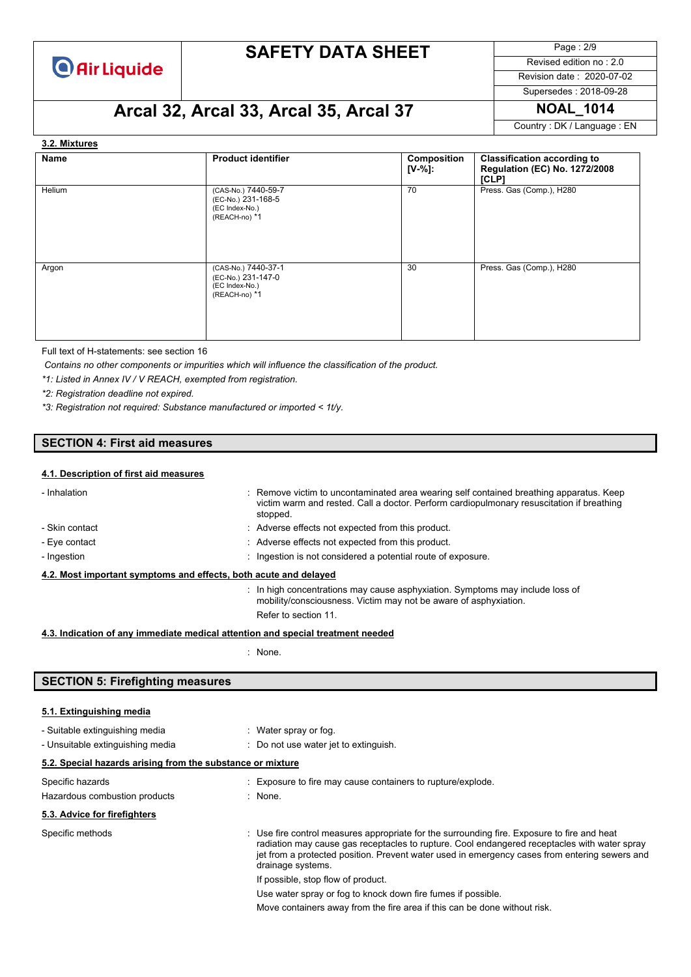

Page : 2/9 Revised edition no : 2.0

Revision date : 2020-07-02

Supersedes : 2018-09-28

# **Arcal 32, Arcal 33, Arcal 35, Arcal 37 NOAL\_1014**

Country : DK / Language : EN

#### **3.2. Mixtures**

| Name   | <b>Product identifier</b>                                                    | Composition<br>[V-%]: | <b>Classification according to</b><br>Regulation (EC) No. 1272/2008<br>[CLP] |
|--------|------------------------------------------------------------------------------|-----------------------|------------------------------------------------------------------------------|
| Helium | (CAS-No.) 7440-59-7<br>(EC-No.) 231-168-5<br>(EC Index-No.)<br>(REACH-no) *1 | 70                    | Press. Gas (Comp.), H280                                                     |
| Argon  | (CAS-No.) 7440-37-1<br>(EC-No.) 231-147-0<br>(EC Index-No.)<br>(REACH-no) *1 | 30                    | Press. Gas (Comp.), H280                                                     |

Full text of H-statements: see section 16

*Contains no other components or impurities which will influence the classification of the product.*

*\*1: Listed in Annex IV / V REACH, exempted from registration.*

*\*2: Registration deadline not expired.*

*\*3: Registration not required: Substance manufactured or imported < 1t/y.*

### **SECTION 4: First aid measures**

#### **4.1. Description of first aid measures**

| - Inhalation                                                                    |  | : Remove victim to uncontaminated area wearing self contained breathing apparatus. Keep<br>victim warm and rested. Call a doctor. Perform cardiopulmonary resuscitation if breathing<br>stopped. |  |
|---------------------------------------------------------------------------------|--|--------------------------------------------------------------------------------------------------------------------------------------------------------------------------------------------------|--|
| - Skin contact                                                                  |  | : Adverse effects not expected from this product.                                                                                                                                                |  |
| - Eye contact                                                                   |  | : Adverse effects not expected from this product.                                                                                                                                                |  |
| - Ingestion                                                                     |  | : Ingestion is not considered a potential route of exposure.                                                                                                                                     |  |
| 4.2. Most important symptoms and effects, both acute and delayed                |  |                                                                                                                                                                                                  |  |
|                                                                                 |  | : In high concentrations may cause asphyxiation. Symptoms may include loss of<br>mobility/consciousness. Victim may not be aware of asphyxiation.                                                |  |
|                                                                                 |  | Refer to section 11.                                                                                                                                                                             |  |
| 4.3. Indication of any immediate medical attention and special treatment needed |  |                                                                                                                                                                                                  |  |

: None.

### **SECTION 5: Firefighting measures**

#### **5.1. Extinguishing media**

| - Suitable extinguishing media<br>- Unsuitable extinguishing media | : Water spray or fog.<br>: Do not use water jet to extinguish.                                                                                                                                                                                                                                                    |
|--------------------------------------------------------------------|-------------------------------------------------------------------------------------------------------------------------------------------------------------------------------------------------------------------------------------------------------------------------------------------------------------------|
| 5.2. Special hazards arising from the substance or mixture         |                                                                                                                                                                                                                                                                                                                   |
| Specific hazards<br>Hazardous combustion products                  | : Exposure to fire may cause containers to rupture/explode.<br>: None.                                                                                                                                                                                                                                            |
| 5.3. Advice for firefighters                                       |                                                                                                                                                                                                                                                                                                                   |
| Specific methods                                                   | : Use fire control measures appropriate for the surrounding fire. Exposure to fire and heat<br>radiation may cause gas receptacles to rupture. Cool endangered receptacles with water spray<br>jet from a protected position. Prevent water used in emergency cases from entering sewers and<br>drainage systems. |
|                                                                    | If possible, stop flow of product.                                                                                                                                                                                                                                                                                |
|                                                                    | Use water spray or fog to knock down fire fumes if possible.                                                                                                                                                                                                                                                      |
|                                                                    | Move containers away from the fire area if this can be done without risk.                                                                                                                                                                                                                                         |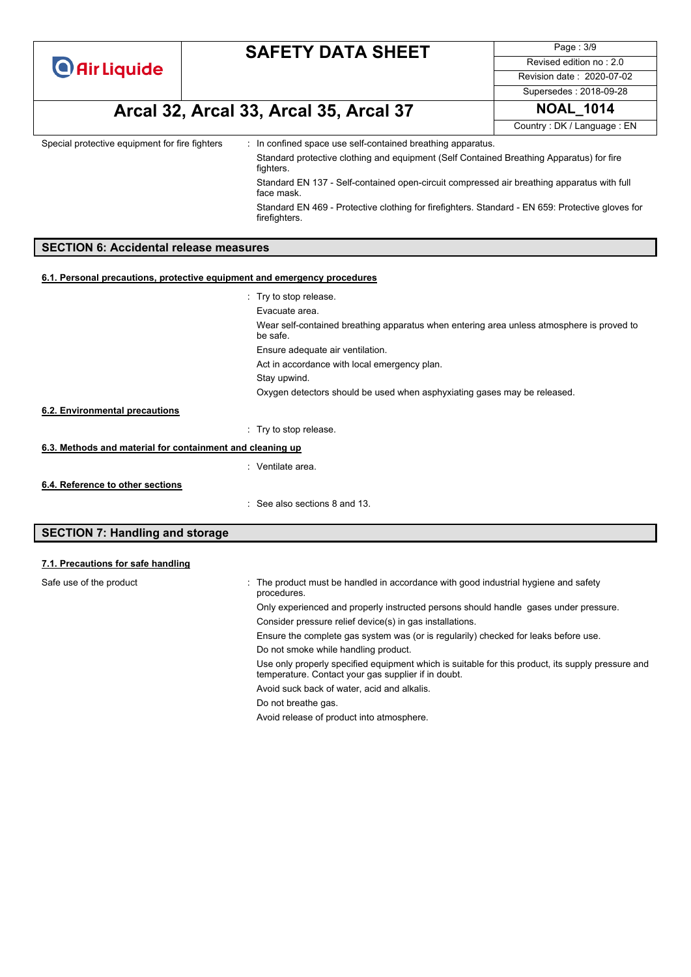Page : 3/9 Revised edition no : 2.0 Revision date : 2020-07-02

**Arcal 32, Arcal 33, Arcal 35, Arcal 37 NOAL\_1014**

Supersedes : 2018-09-28

Country : DK / Language : EN

Special protective equipment for fire fighters : In confined space use self-contained breathing apparatus.

Standard protective clothing and equipment (Self Contained Breathing Apparatus) for fire fighters.

Standard EN 137 - Self-contained open-circuit compressed air breathing apparatus with full face mask.

Standard EN 469 - Protective clothing for firefighters. Standard - EN 659: Protective gloves for firefighters.

### **SECTION 6: Accidental release measures**

#### **6.1. Personal precautions, protective equipment and emergency procedures**

|                                                                                                                                                                                                                                                                                                                                                                                                                              | : Try to stop release.                                                                                |
|------------------------------------------------------------------------------------------------------------------------------------------------------------------------------------------------------------------------------------------------------------------------------------------------------------------------------------------------------------------------------------------------------------------------------|-------------------------------------------------------------------------------------------------------|
|                                                                                                                                                                                                                                                                                                                                                                                                                              | Evacuate area.                                                                                        |
|                                                                                                                                                                                                                                                                                                                                                                                                                              | Wear self-contained breathing apparatus when entering area unless atmosphere is proved to<br>be safe. |
|                                                                                                                                                                                                                                                                                                                                                                                                                              | Ensure adequate air ventilation.                                                                      |
|                                                                                                                                                                                                                                                                                                                                                                                                                              | Act in accordance with local emergency plan.                                                          |
|                                                                                                                                                                                                                                                                                                                                                                                                                              | Stay upwind.                                                                                          |
|                                                                                                                                                                                                                                                                                                                                                                                                                              | Oxygen detectors should be used when asphyxiating gases may be released.                              |
| 6.2. Environmental precautions                                                                                                                                                                                                                                                                                                                                                                                               |                                                                                                       |
|                                                                                                                                                                                                                                                                                                                                                                                                                              | : Try to stop release.                                                                                |
| 6.3. Methods and material for containment and cleaning up                                                                                                                                                                                                                                                                                                                                                                    |                                                                                                       |
|                                                                                                                                                                                                                                                                                                                                                                                                                              | : Ventilate area.                                                                                     |
| 6.4. Reference to other sections                                                                                                                                                                                                                                                                                                                                                                                             |                                                                                                       |
|                                                                                                                                                                                                                                                                                                                                                                                                                              | $\therefore$ See also sections 8 and 13.                                                              |
| $\mathbf{A} = \mathbf{A} + \mathbf{B} + \mathbf{C} + \mathbf{A} + \mathbf{A} + \mathbf{A} + \mathbf{A} + \mathbf{A} + \mathbf{A} + \mathbf{A} + \mathbf{A} + \mathbf{A} + \mathbf{A} + \mathbf{A} + \mathbf{A} + \mathbf{A} + \mathbf{A} + \mathbf{A} + \mathbf{A} + \mathbf{A} + \mathbf{A} + \mathbf{A} + \mathbf{A} + \mathbf{A} + \mathbf{A} + \mathbf{A} + \mathbf{A} + \mathbf{A} + \mathbf{A} + \mathbf{A} + \mathbf$ |                                                                                                       |

### **SECTION 7: Handling and storage**

### **7.1. Precautions for safe handling**

| Safe use of the product | The product must be handled in accordance with good industrial hygiene and safety<br>÷<br>procedures.                                                    |
|-------------------------|----------------------------------------------------------------------------------------------------------------------------------------------------------|
|                         | Only experienced and properly instructed persons should handle gases under pressure.                                                                     |
|                         | Consider pressure relief device(s) in gas installations.                                                                                                 |
|                         | Ensure the complete gas system was (or is regularily) checked for leaks before use.                                                                      |
|                         | Do not smoke while handling product.                                                                                                                     |
|                         | Use only properly specified equipment which is suitable for this product, its supply pressure and<br>temperature. Contact your gas supplier if in doubt. |
|                         | Avoid suck back of water, acid and alkalis.                                                                                                              |
|                         | Do not breathe gas.                                                                                                                                      |
|                         | Avoid release of product into atmosphere.                                                                                                                |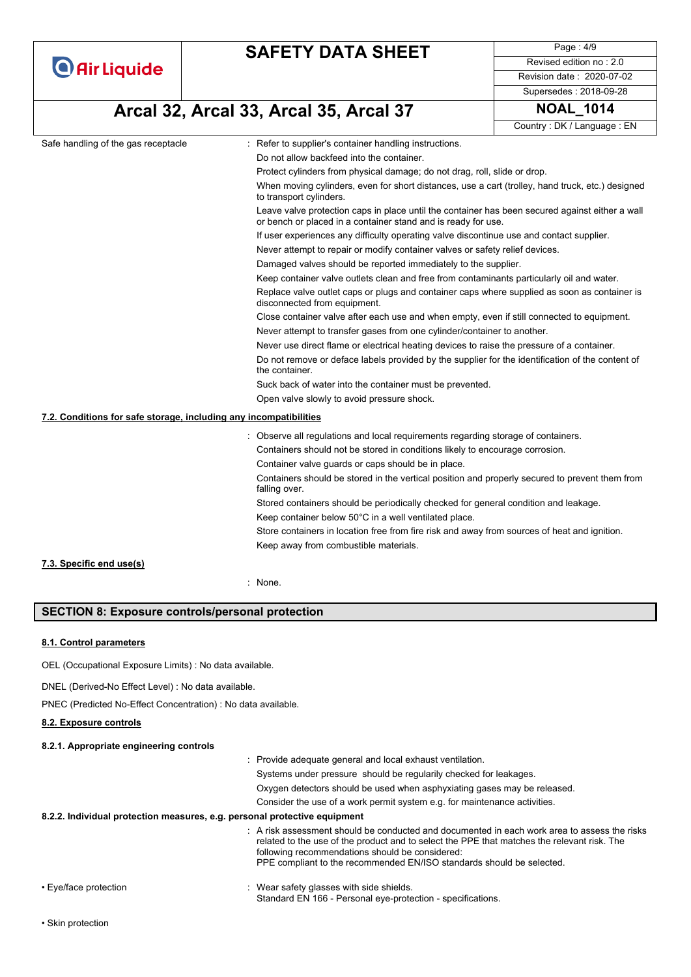|                                                                   | <b>SAFETY DATA SHEET</b>                                                                                                                                         | Page: 4/9                  |  |
|-------------------------------------------------------------------|------------------------------------------------------------------------------------------------------------------------------------------------------------------|----------------------------|--|
| <b>O</b> Air Liquide                                              |                                                                                                                                                                  | Revised edition no: 2.0    |  |
|                                                                   |                                                                                                                                                                  | Revision date: 2020-07-02  |  |
|                                                                   |                                                                                                                                                                  | Supersedes: 2018-09-28     |  |
|                                                                   | Arcal 32, Arcal 33, Arcal 35, Arcal 37                                                                                                                           | <b>NOAL_1014</b>           |  |
|                                                                   |                                                                                                                                                                  | Country: DK / Language: EN |  |
| Safe handling of the gas receptacle                               | : Refer to supplier's container handling instructions.                                                                                                           |                            |  |
|                                                                   | Do not allow backfeed into the container.                                                                                                                        |                            |  |
|                                                                   | Protect cylinders from physical damage; do not drag, roll, slide or drop.                                                                                        |                            |  |
|                                                                   | When moving cylinders, even for short distances, use a cart (trolley, hand truck, etc.) designed<br>to transport cylinders.                                      |                            |  |
|                                                                   | Leave valve protection caps in place until the container has been secured against either a wall<br>or bench or placed in a container stand and is ready for use. |                            |  |
|                                                                   | If user experiences any difficulty operating valve discontinue use and contact supplier.                                                                         |                            |  |
|                                                                   | Never attempt to repair or modify container valves or safety relief devices.                                                                                     |                            |  |
|                                                                   | Damaged valves should be reported immediately to the supplier.                                                                                                   |                            |  |
|                                                                   | Keep container valve outlets clean and free from contaminants particularly oil and water.                                                                        |                            |  |
|                                                                   | Replace valve outlet caps or plugs and container caps where supplied as soon as container is<br>disconnected from equipment.                                     |                            |  |
|                                                                   | Close container valve after each use and when empty, even if still connected to equipment.                                                                       |                            |  |
|                                                                   | Never attempt to transfer gases from one cylinder/container to another.                                                                                          |                            |  |
|                                                                   | Never use direct flame or electrical heating devices to raise the pressure of a container.                                                                       |                            |  |
|                                                                   | Do not remove or deface labels provided by the supplier for the identification of the content of<br>the container.                                               |                            |  |
|                                                                   | Suck back of water into the container must be prevented.                                                                                                         |                            |  |
|                                                                   | Open valve slowly to avoid pressure shock.                                                                                                                       |                            |  |
| 7.2. Conditions for safe storage, including any incompatibilities |                                                                                                                                                                  |                            |  |
|                                                                   | : Observe all regulations and local requirements regarding storage of containers.                                                                                |                            |  |
|                                                                   | Containers should not be stored in conditions likely to encourage corrosion.                                                                                     |                            |  |
|                                                                   | Container valve guards or caps should be in place.                                                                                                               |                            |  |
|                                                                   | Containers should be stored in the vertical position and properly secured to prevent them from<br>falling over.                                                  |                            |  |
|                                                                   | Stored containers should be periodically checked for general condition and leakage.                                                                              |                            |  |
|                                                                   | Keep container below 50°C in a well ventilated place.                                                                                                            |                            |  |
|                                                                   | Store containers in location free from fire risk and away from sources of heat and ignition.                                                                     |                            |  |
|                                                                   | Keep away from combustible materials.                                                                                                                            |                            |  |
| 7.3. Specific end use(s)                                          |                                                                                                                                                                  |                            |  |

: None.

### **SECTION 8: Exposure controls/personal protection**

### **8.1. Control parameters**

OEL (Occupational Exposure Limits) : No data available.

DNEL (Derived-No Effect Level) : No data available.

PNEC (Predicted No-Effect Concentration) : No data available.

#### **8.2. Exposure controls**

#### **8.2.1. Appropriate engineering controls**

|                                                                           | : Provide adequate general and local exhaust ventilation.                                                                                                                                                                                                                                                               |
|---------------------------------------------------------------------------|-------------------------------------------------------------------------------------------------------------------------------------------------------------------------------------------------------------------------------------------------------------------------------------------------------------------------|
|                                                                           | Systems under pressure should be regularily checked for leakages.                                                                                                                                                                                                                                                       |
|                                                                           | Oxygen detectors should be used when asphyxiating gases may be released.                                                                                                                                                                                                                                                |
|                                                                           | Consider the use of a work permit system e.g. for maintenance activities.                                                                                                                                                                                                                                               |
| 8.2.2. Individual protection measures, e.g. personal protective equipment |                                                                                                                                                                                                                                                                                                                         |
|                                                                           | . A risk assessment should be conducted and documented in each work area to assess the risks<br>related to the use of the product and to select the PPE that matches the relevant risk. The<br>following recommendations should be considered:<br>PPE compliant to the recommended EN/ISO standards should be selected. |
|                                                                           |                                                                                                                                                                                                                                                                                                                         |

- Eye/face protection **in the state of the set of the set of the set of the shields.** Wear safety glasses with side shields.
	- Standard EN 166 Personal eye-protection specifications.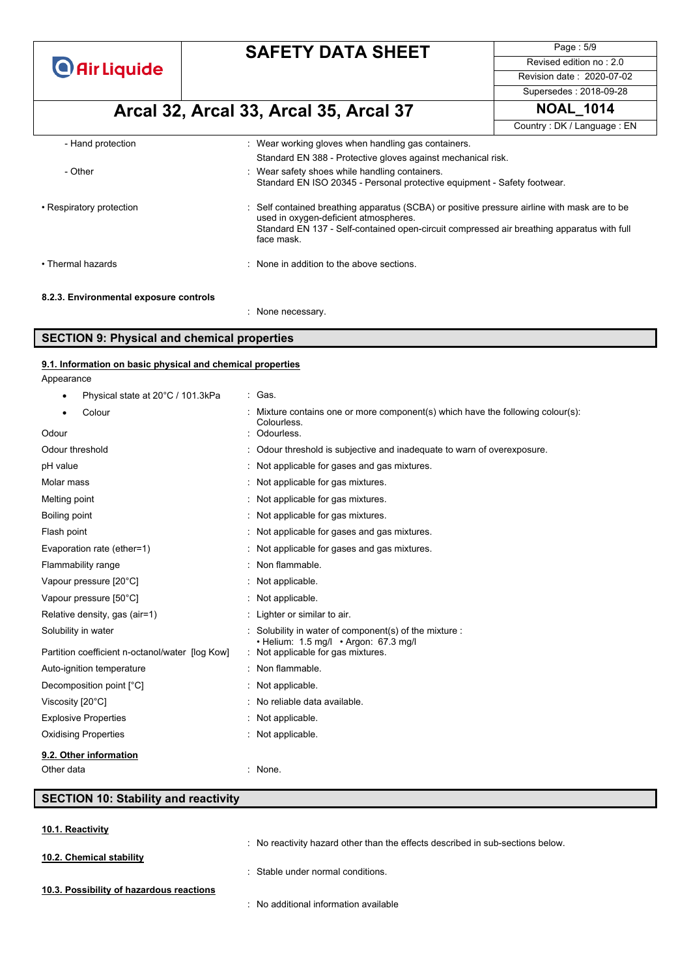**O** Air Liquide

# **SAFETY DATA SHEET**

Page : 5/9 Revised edition no : 2.0 Revision date : 2020-07-02

#### Supersedes : 2018-09-28

# **Arcal 32, Arcal 33, Arcal 35, Arcal 37 NOAL\_1014**

Country : DK / Language : EN

| - Hand protection                      | : Wear working gloves when handling gas containers.                                                                                                                                                                                             |
|----------------------------------------|-------------------------------------------------------------------------------------------------------------------------------------------------------------------------------------------------------------------------------------------------|
| - Other                                | Standard EN 388 - Protective gloves against mechanical risk.<br>: Wear safety shoes while handling containers.<br>Standard EN ISO 20345 - Personal protective equipment - Safety footwear.                                                      |
| • Respiratory protection               | Self contained breathing apparatus (SCBA) or positive pressure airline with mask are to be<br>used in oxygen-deficient atmospheres.<br>Standard EN 137 - Self-contained open-circuit compressed air breathing apparatus with full<br>face mask. |
| • Thermal hazards                      | : None in addition to the above sections.                                                                                                                                                                                                       |
| 8.2.3. Environmental exposure controls |                                                                                                                                                                                                                                                 |

: None necessary.

### **SECTION 9: Physical and chemical properties**

| 9.1. Information on basic physical and chemical properties |  |  |  |
|------------------------------------------------------------|--|--|--|
| Appearance                                                 |  |  |  |

| Physical state at 20°C / 101.3kPa               | : Gas.                                                                                        |
|-------------------------------------------------|-----------------------------------------------------------------------------------------------|
| Colour                                          | Mixture contains one or more component(s) which have the following colour(s):<br>Colourless.  |
| Odour                                           | Odourless.                                                                                    |
| Odour threshold                                 | : Odour threshold is subjective and inadequate to warn of overexposure.                       |
| pH value                                        | : Not applicable for gases and gas mixtures.                                                  |
| Molar mass                                      | Not applicable for gas mixtures.                                                              |
| Melting point                                   | : Not applicable for gas mixtures.                                                            |
| Boiling point                                   | : Not applicable for gas mixtures.                                                            |
| Flash point                                     | Not applicable for gases and gas mixtures.                                                    |
| Evaporation rate (ether=1)                      | Not applicable for gases and gas mixtures.                                                    |
| Flammability range                              | : Non flammable.                                                                              |
| Vapour pressure [20°C]                          | Not applicable.                                                                               |
| Vapour pressure [50°C]                          | : Not applicable.                                                                             |
| Relative density, gas (air=1)                   | : Lighter or similar to air.                                                                  |
| Solubility in water                             | Solubility in water of component(s) of the mixture :<br>• Helium: 1.5 mg/l • Argon: 67.3 mg/l |
| Partition coefficient n-octanol/water [log Kow] | : Not applicable for gas mixtures.                                                            |
| Auto-ignition temperature                       | : Non flammable.                                                                              |
| Decomposition point [°C]                        | Not applicable.                                                                               |
| Viscosity [20°C]                                | : No reliable data available.                                                                 |
| <b>Explosive Properties</b>                     | : Not applicable.                                                                             |
| <b>Oxidising Properties</b>                     | Not applicable.                                                                               |
| 9.2. Other information                          |                                                                                               |
| Other data                                      | : None.                                                                                       |

### **SECTION 10: Stability and reactivity**

**10.1. Reactivity**

**10.2. Chemical stability**

: No reactivity hazard other than the effects described in sub-sections below.

: Stable under normal conditions.

- **10.3. Possibility of hazardous reactions**
- : No additional information available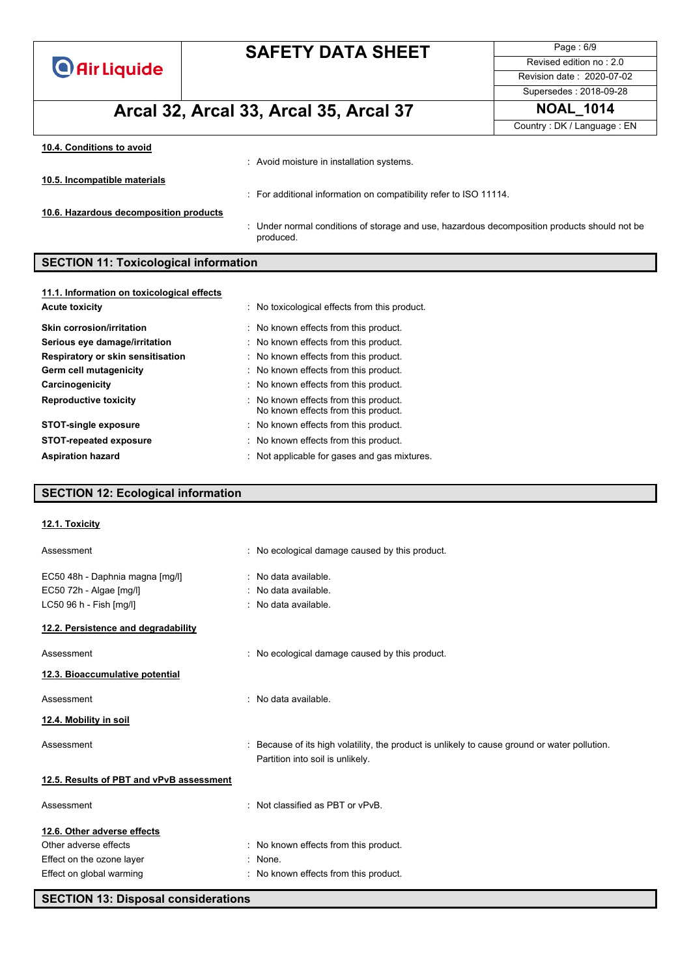| <b>O</b> Air Liquide |  |  |  |  |
|----------------------|--|--|--|--|
|                      |  |  |  |  |

**Arcal 32, Arcal 33, Arcal 35, Arcal 37 NOAL\_1014**

Page : 6/9 Revised edition no : 2.0 Revision date : 2020-07-02 Supersedes : 2018-09-28

Country : DK / Language : EN

| 10.4. Conditions to avoid              | : Avoid moisture in installation systems.                                                                 |
|----------------------------------------|-----------------------------------------------------------------------------------------------------------|
| 10.5. Incompatible materials           | : For additional information on compatibility refer to ISO 11114.                                         |
| 10.6. Hazardous decomposition products | : Under normal conditions of storage and use, hazardous decomposition products should not be<br>produced. |

## **SECTION 11: Toxicological information**

| 11.1. Information on toxicological effects |                                                                              |
|--------------------------------------------|------------------------------------------------------------------------------|
| <b>Acute toxicity</b>                      | : No toxicological effects from this product.                                |
| <b>Skin corrosion/irritation</b>           | : No known effects from this product.                                        |
| Serious eye damage/irritation              | : No known effects from this product.                                        |
| Respiratory or skin sensitisation          | : No known effects from this product.                                        |
| Germ cell mutagenicity                     | : No known effects from this product.                                        |
| Carcinogenicity                            | : No known effects from this product.                                        |
| <b>Reproductive toxicity</b>               | : No known effects from this product.<br>No known effects from this product. |
| <b>STOT-single exposure</b>                | : No known effects from this product.                                        |
| <b>STOT-repeated exposure</b>              | : No known effects from this product.                                        |
| <b>Aspiration hazard</b>                   | : Not applicable for gases and gas mixtures.                                 |

### **SECTION 12: Ecological information**

| 12.1. Toxicity                           |                                                                                                                                   |
|------------------------------------------|-----------------------------------------------------------------------------------------------------------------------------------|
| Assessment                               | : No ecological damage caused by this product.                                                                                    |
| EC50 48h - Daphnia magna [mg/l]          | : No data available.                                                                                                              |
| EC50 72h - Algae [mg/l]                  | : No data available.                                                                                                              |
| LC50 96 h - Fish [mg/l]                  | : No data available.                                                                                                              |
| 12.2. Persistence and degradability      |                                                                                                                                   |
| Assessment                               | : No ecological damage caused by this product.                                                                                    |
| 12.3. Bioaccumulative potential          |                                                                                                                                   |
| Assessment                               | : No data available.                                                                                                              |
| 12.4. Mobility in soil                   |                                                                                                                                   |
| Assessment                               | : Because of its high volatility, the product is unlikely to cause ground or water pollution.<br>Partition into soil is unlikely. |
| 12.5. Results of PBT and vPvB assessment |                                                                                                                                   |
| Assessment                               | : Not classified as PBT or vPvB.                                                                                                  |
| 12.6. Other adverse effects              |                                                                                                                                   |
| Other adverse effects                    | : No known effects from this product.                                                                                             |
| Effect on the ozone layer                | : None.                                                                                                                           |
| Effect on global warming                 | : No known effects from this product.                                                                                             |
|                                          |                                                                                                                                   |

**SECTION 13: Disposal considerations**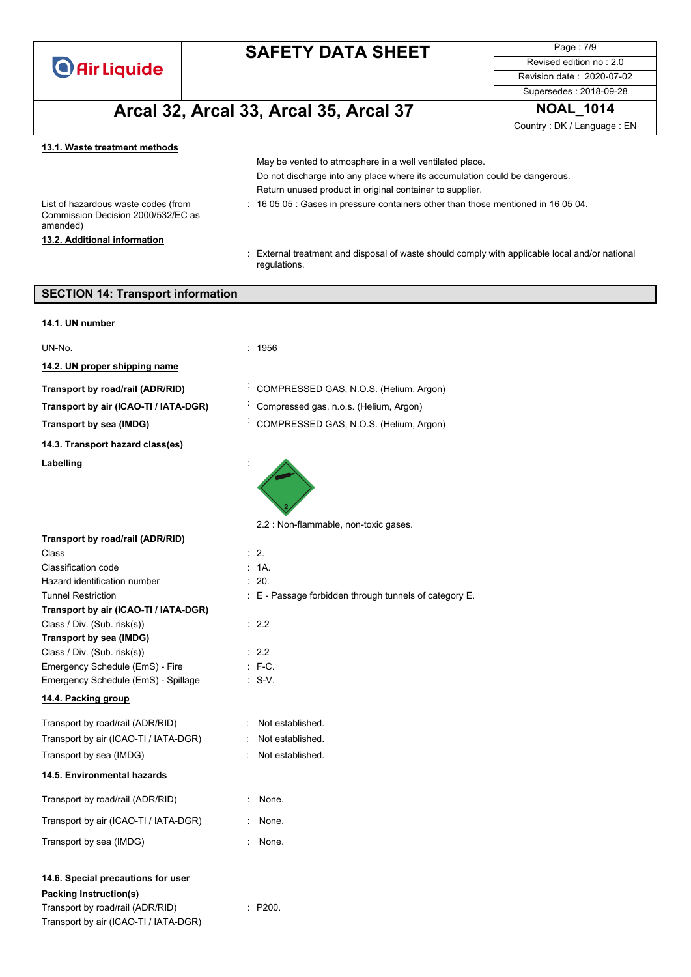**O** Air Liquide

Transport by air (ICAO-TI / IATA-DGR)

# **SAFETY DATA SHEET**

Page : 7/9 Revised edition no : 2.0 Revision date : 2020-07-02

### Supersedes : 2018-09-28

# **Arcal 32, Arcal 33, Arcal 35, Arcal 37 NOAL\_1014**

Country : DK / Language : EN

| Do not discharge into any place where its accumulation could be dangerous.                                     |
|----------------------------------------------------------------------------------------------------------------|
| Return unused product in original container to supplier.                                                       |
| $\div$ 16 05 05 : Gases in pressure containers other than those mentioned in 16 05 04.                         |
|                                                                                                                |
| : External treatment and disposal of waste should comply with applicable local and/or national<br>regulations. |
| <b>SECTION 14: Transport information</b>                                                                       |
|                                                                                                                |

| UN-No.                                                                                                  | : 1956                                                 |
|---------------------------------------------------------------------------------------------------------|--------------------------------------------------------|
| 14.2. UN proper shipping name                                                                           |                                                        |
| Transport by road/rail (ADR/RID)                                                                        | COMPRESSED GAS, N.O.S. (Helium, Argon)                 |
|                                                                                                         |                                                        |
| Transport by air (ICAO-TI / IATA-DGR)                                                                   | Compressed gas, n.o.s. (Helium, Argon)                 |
| Transport by sea (IMDG)                                                                                 | COMPRESSED GAS, N.O.S. (Helium, Argon)                 |
| 14.3. Transport hazard class(es)                                                                        |                                                        |
| Labelling                                                                                               |                                                        |
|                                                                                                         | 2.2 : Non-flammable, non-toxic gases.                  |
| Transport by road/rail (ADR/RID)                                                                        |                                                        |
| Class                                                                                                   | $\therefore$ 2.                                        |
| Classification code                                                                                     | : 1A.                                                  |
| Hazard identification number                                                                            | : 20.                                                  |
| <b>Tunnel Restriction</b>                                                                               | : E - Passage forbidden through tunnels of category E. |
| Transport by air (ICAO-TI / IATA-DGR)<br>Class / Div. (Sub. risk(s))                                    | : 2.2                                                  |
| Transport by sea (IMDG)                                                                                 |                                                        |
| Class / Div. (Sub. risk(s))                                                                             | : 2.2                                                  |
| Emergency Schedule (EmS) - Fire                                                                         | $: F-C.$                                               |
| Emergency Schedule (EmS) - Spillage                                                                     | $: S-V.$                                               |
| 14.4. Packing group                                                                                     |                                                        |
| Transport by road/rail (ADR/RID)                                                                        | Not established.                                       |
| Transport by air (ICAO-TI / IATA-DGR)                                                                   | Not established.                                       |
| Transport by sea (IMDG)                                                                                 | Not established.                                       |
| 14.5. Environmental hazards                                                                             |                                                        |
| Transport by road/rail (ADR/RID)                                                                        | None.                                                  |
| Transport by air (ICAO-TI / IATA-DGR)                                                                   | None.<br>÷.                                            |
| Transport by sea (IMDG)                                                                                 | None.                                                  |
| 14.6. Special precautions for user<br><b>Packing Instruction(s)</b><br>Transport by road/rail (ADR/RID) | : P200.                                                |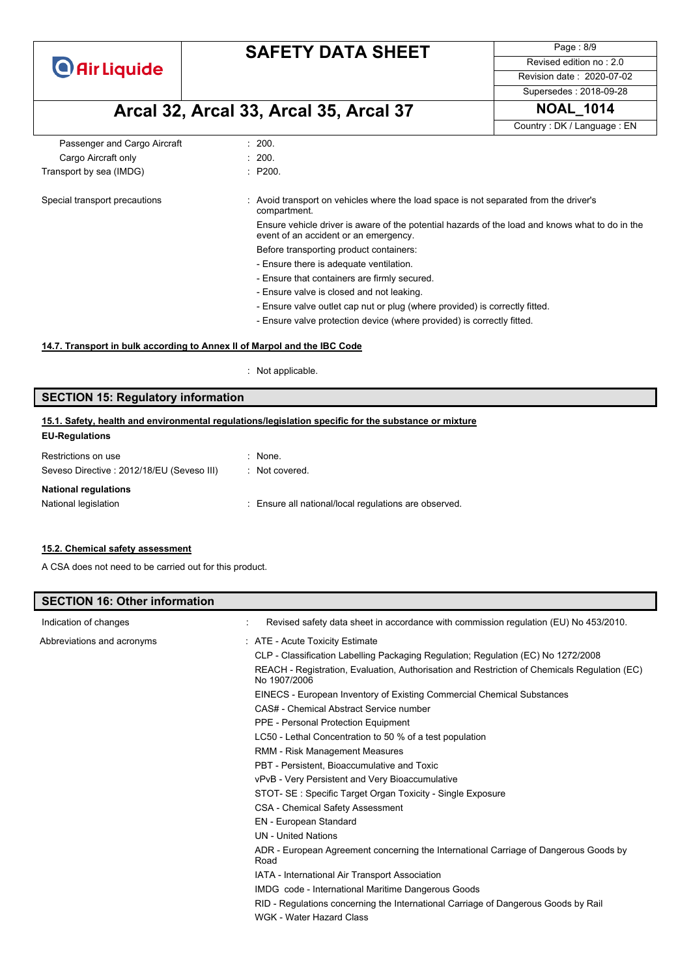**O** Air Liquide

# **SAFETY DATA SHEET**

Page : 8/9 Revised edition no : 2.0 Revision date : 2020-07-02

Supersedes : 2018-09-28

# **Arcal 32, Arcal 33, Arcal 35, Arcal 37 NOAL\_1014**

Country : DK / Language : EN Passenger and Cargo Aircraft : 200. Cargo Aircraft only **Example 200.** 200. Transport by sea (IMDG) : P200. Special transport precautions : Avoid transport on vehicles where the load space is not separated from the driver's compartment. Ensure vehicle driver is aware of the potential hazards of the load and knows what to do in the event of an accident or an emergency. Before transporting product containers: - Ensure there is adequate ventilation. - Ensure that containers are firmly secured. - Ensure valve is closed and not leaking. - Ensure valve outlet cap nut or plug (where provided) is correctly fitted. - Ensure valve protection device (where provided) is correctly fitted.

#### **14.7. Transport in bulk according to Annex II of Marpol and the IBC Code**

: Not applicable.

### **SECTION 15: Regulatory information**

#### **EU-Regulations 15.1. Safety, health and environmental regulations/legislation specific for the substance or mixture**

| Restrictions on use                       | $:$ None.                                             |
|-------------------------------------------|-------------------------------------------------------|
| Seveso Directive: 2012/18/EU (Seveso III) | : Not covered.                                        |
| <b>National regulations</b>               |                                                       |
| National legislation                      | : Ensure all national/local regulations are observed. |
|                                           |                                                       |

#### **15.2. Chemical safety assessment**

**SECTION 16: Other information**

A CSA does not need to be carried out for this product.

| SECTION 16: Other Information |                                                                                                              |
|-------------------------------|--------------------------------------------------------------------------------------------------------------|
| Indication of changes         | Revised safety data sheet in accordance with commission regulation (EU) No 453/2010.                         |
| Abbreviations and acronyms    | : ATE - Acute Toxicity Estimate                                                                              |
|                               | CLP - Classification Labelling Packaging Regulation; Regulation (EC) No 1272/2008                            |
|                               | REACH - Registration, Evaluation, Authorisation and Restriction of Chemicals Regulation (EC)<br>No 1907/2006 |
|                               | EINECS - European Inventory of Existing Commercial Chemical Substances                                       |
|                               | CAS# - Chemical Abstract Service number                                                                      |
|                               | PPE - Personal Protection Equipment                                                                          |
|                               | LC50 - Lethal Concentration to 50 % of a test population                                                     |
|                               | RMM - Risk Management Measures                                                                               |
|                               | PBT - Persistent, Bioaccumulative and Toxic                                                                  |
|                               | vPvB - Very Persistent and Very Bioaccumulative                                                              |
|                               | STOT- SE: Specific Target Organ Toxicity - Single Exposure                                                   |
|                               | <b>CSA - Chemical Safety Assessment</b>                                                                      |
|                               | <b>EN</b> - European Standard                                                                                |
|                               | <b>UN</b> - United Nations                                                                                   |
|                               | ADR - European Agreement concerning the International Carriage of Dangerous Goods by<br>Road                 |
|                               | IATA - International Air Transport Association                                                               |
|                               | IMDG code - International Maritime Dangerous Goods                                                           |
|                               | RID - Regulations concerning the International Carriage of Dangerous Goods by Rail                           |
|                               | WGK - Water Hazard Class                                                                                     |
|                               |                                                                                                              |
|                               |                                                                                                              |